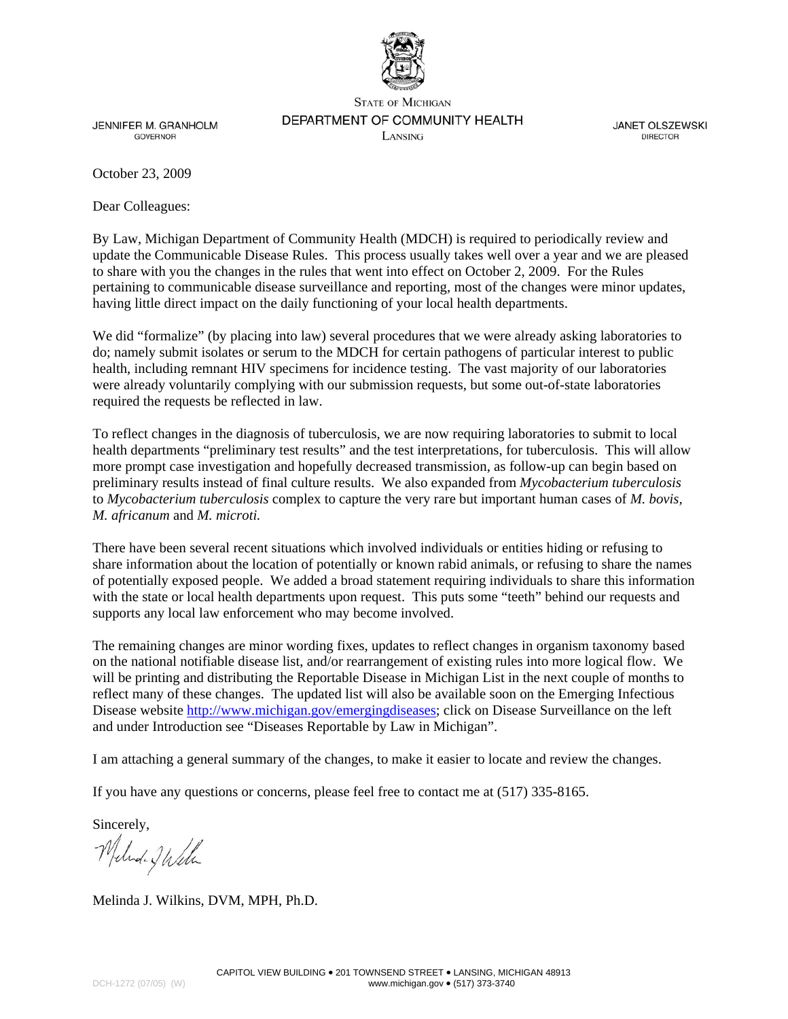

**STATE OF MICHIGAN** DEPARTMENT OF COMMUNITY HEALTH

**JENNIFER M. GRANHOLM GOVERNOR** 

LANSING

**JANET OLSZEWSKI DIRECTOR** 

October 23, 2009

Dear Colleagues:

By Law, Michigan Department of Community Health (MDCH) is required to periodically review and update the Communicable Disease Rules. This process usually takes well over a year and we are pleased to share with you the changes in the rules that went into effect on October 2, 2009. For the Rules pertaining to communicable disease surveillance and reporting, most of the changes were minor updates, having little direct impact on the daily functioning of your local health departments.

We did "formalize" (by placing into law) several procedures that we were already asking laboratories to do; namely submit isolates or serum to the MDCH for certain pathogens of particular interest to public health, including remnant HIV specimens for incidence testing. The vast majority of our laboratories were already voluntarily complying with our submission requests, but some out-of-state laboratories required the requests be reflected in law.

To reflect changes in the diagnosis of tuberculosis, we are now requiring laboratories to submit to local health departments "preliminary test results" and the test interpretations, for tuberculosis. This will allow more prompt case investigation and hopefully decreased transmission, as follow-up can begin based on preliminary results instead of final culture results. We also expanded from *Mycobacterium tuberculosis* to *Mycobacterium tuberculosis* complex to capture the very rare but important human cases of *M. bovis, M. africanum* and *M. microti.* 

There have been several recent situations which involved individuals or entities hiding or refusing to share information about the location of potentially or known rabid animals, or refusing to share the names of potentially exposed people. We added a broad statement requiring individuals to share this information with the state or local health departments upon request. This puts some "teeth" behind our requests and supports any local law enforcement who may become involved.

The remaining changes are minor wording fixes, updates to reflect changes in organism taxonomy based on the national notifiable disease list, and/or rearrangement of existing rules into more logical flow. We will be printing and distributing the Reportable Disease in Michigan List in the next couple of months to reflect many of these changes. The updated list will also be available soon on the Emerging Infectious Disease website [http://www.michigan.gov/emergingdiseases;](http://www.michigan.gov/emergingdiseases) click on Disease Surveillance on the left and under Introduction see "Diseases Reportable by Law in Michigan".

I am attaching a general summary of the changes, to make it easier to locate and review the changes.

If you have any questions or concerns, please feel free to contact me at (517) 335-8165.

Sincerely,

Melede Jakle

Melinda J. Wilkins, DVM, MPH, Ph.D.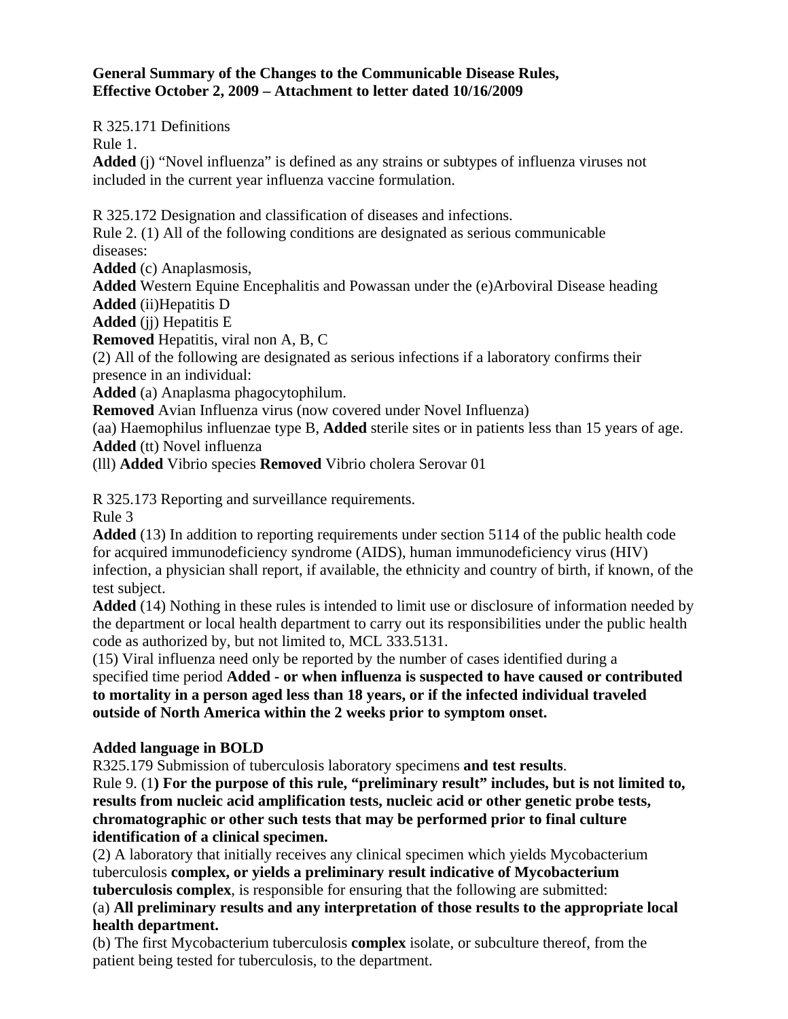## **General Summary of the Changes to the Communicable Disease Rules, Effective October 2, 2009 – Attachment to letter dated 10/16/2009**

R 325.171 Definitions

Rule 1.

**Added** (j) "Novel influenza" is defined as any strains or subtypes of influenza viruses not included in the current year influenza vaccine formulation.

R 325.172 Designation and classification of diseases and infections.

Rule 2. (1) All of the following conditions are designated as serious communicable diseases:

**Added** (c) Anaplasmosis,

**Added** Western Equine Encephalitis and Powassan under the (e)Arboviral Disease heading **Added** (ii)Hepatitis D

**Added** (jj) Hepatitis E

**Removed** Hepatitis, viral non A, B, C

(2) All of the following are designated as serious infections if a laboratory confirms their presence in an individual:

**Added** (a) Anaplasma phagocytophilum.

**Removed** Avian Influenza virus (now covered under Novel Influenza)

(aa) Haemophilus influenzae type B, **Added** sterile sites or in patients less than 15 years of age. **Added** (tt) Novel influenza

(lll) **Added** Vibrio species **Removed** Vibrio cholera Serovar 01

R 325.173 Reporting and surveillance requirements.

Rule 3

**Added** (13) In addition to reporting requirements under section 5114 of the public health code for acquired immunodeficiency syndrome (AIDS), human immunodeficiency virus (HIV) infection, a physician shall report, if available, the ethnicity and country of birth, if known, of the test subject.

**Added** (14) Nothing in these rules is intended to limit use or disclosure of information needed by the department or local health department to carry out its responsibilities under the public health code as authorized by, but not limited to, MCL 333.5131.

(15) Viral influenza need only be reported by the number of cases identified during a specified time period **Added - or when influenza is suspected to have caused or contributed to mortality in a person aged less than 18 years, or if the infected individual traveled outside of North America within the 2 weeks prior to symptom onset.**

## **Added language in BOLD**

R325.179 Submission of tuberculosis laboratory specimens **and test results**.

Rule 9. (1**) For the purpose of this rule, "preliminary result" includes, but is not limited to, results from nucleic acid amplification tests, nucleic acid or other genetic probe tests, chromatographic or other such tests that may be performed prior to final culture identification of a clinical specimen.** 

(2) A laboratory that initially receives any clinical specimen which yields Mycobacterium tuberculosis **complex, or yields a preliminary result indicative of Mycobacterium tuberculosis complex**, is responsible for ensuring that the following are submitted:

(a) **All preliminary results and any interpretation of those results to the appropriate local health department.** 

(b) The first Mycobacterium tuberculosis **complex** isolate, or subculture thereof, from the patient being tested for tuberculosis, to the department.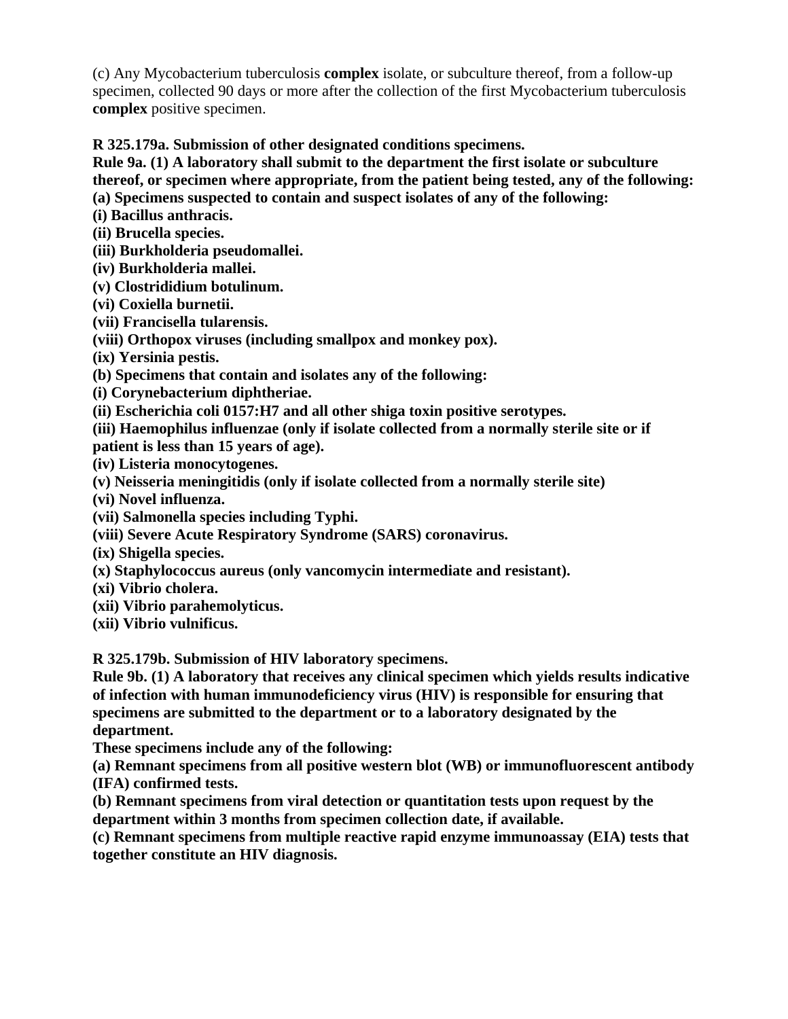(c) Any Mycobacterium tuberculosis **complex** isolate, or subculture thereof, from a follow-up specimen, collected 90 days or more after the collection of the first Mycobacterium tuberculosis **complex** positive specimen.

**R 325.179a. Submission of other designated conditions specimens.** 

**Rule 9a. (1) A laboratory shall submit to the department the first isolate or subculture thereof, or specimen where appropriate, from the patient being tested, any of the following: (a) Specimens suspected to contain and suspect isolates of any of the following:** 

**(i) Bacillus anthracis.** 

**(ii) Brucella species.** 

**(iii) Burkholderia pseudomallei.** 

**(iv) Burkholderia mallei.** 

**(v) Clostrididium botulinum.** 

**(vi) Coxiella burnetii.** 

**(vii) Francisella tularensis.** 

**(viii) Orthopox viruses (including smallpox and monkey pox).** 

**(ix) Yersinia pestis.** 

**(b) Specimens that contain and isolates any of the following:** 

**(i) Corynebacterium diphtheriae.** 

**(ii) Escherichia coli 0157:H7 and all other shiga toxin positive serotypes.** 

**(iii) Haemophilus influenzae (only if isolate collected from a normally sterile site or if** 

**patient is less than 15 years of age).** 

**(iv) Listeria monocytogenes.** 

**(v) Neisseria meningitidis (only if isolate collected from a normally sterile site)** 

**(vi) Novel influenza.** 

**(vii) Salmonella species including Typhi.** 

**(viii) Severe Acute Respiratory Syndrome (SARS) coronavirus.** 

**(ix) Shigella species.** 

**(x) Staphylococcus aureus (only vancomycin intermediate and resistant).** 

**(xi) Vibrio cholera.** 

**(xii) Vibrio parahemolyticus.** 

**(xii) Vibrio vulnificus.** 

**R 325.179b. Submission of HIV laboratory specimens.** 

**Rule 9b. (1) A laboratory that receives any clinical specimen which yields results indicative of infection with human immunodeficiency virus (HIV) is responsible for ensuring that specimens are submitted to the department or to a laboratory designated by the department.** 

**These specimens include any of the following:** 

**(a) Remnant specimens from all positive western blot (WB) or immunofluorescent antibody (IFA) confirmed tests.** 

**(b) Remnant specimens from viral detection or quantitation tests upon request by the department within 3 months from specimen collection date, if available.** 

**(c) Remnant specimens from multiple reactive rapid enzyme immunoassay (EIA) tests that together constitute an HIV diagnosis.**